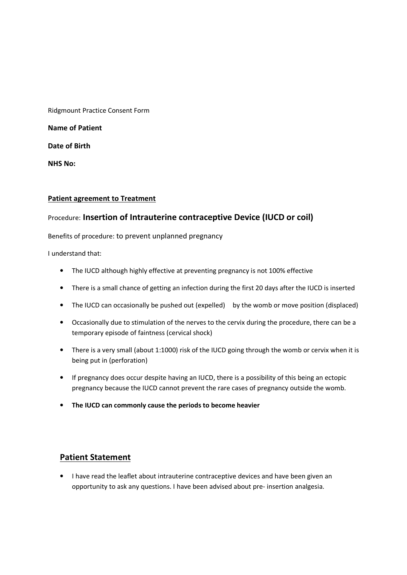Ridgmount Practice Consent Form

Name of Patient

Date of Birth

NHS No:

## Patient agreement to Treatment

## Procedure: Insertion of Intrauterine contraceptive Device (IUCD or coil)

Benefits of procedure: to prevent unplanned pregnancy

I understand that:

- The IUCD although highly effective at preventing pregnancy is not 100% effective
- There is a small chance of getting an infection during the first 20 days after the IUCD is inserted
- The IUCD can occasionally be pushed out (expelled) by the womb or move position (displaced)
- Occasionally due to stimulation of the nerves to the cervix during the procedure, there can be a temporary episode of faintness (cervical shock)
- There is a very small (about 1:1000) risk of the IUCD going through the womb or cervix when it is being put in (perforation)
- If pregnancy does occur despite having an IUCD, there is a possibility of this being an ectopic pregnancy because the IUCD cannot prevent the rare cases of pregnancy outside the womb.
- The IUCD can commonly cause the periods to become heavier

## Patient Statement

• I have read the leaflet about intrauterine contraceptive devices and have been given an opportunity to ask any questions. I have been advised about pre- insertion analgesia.